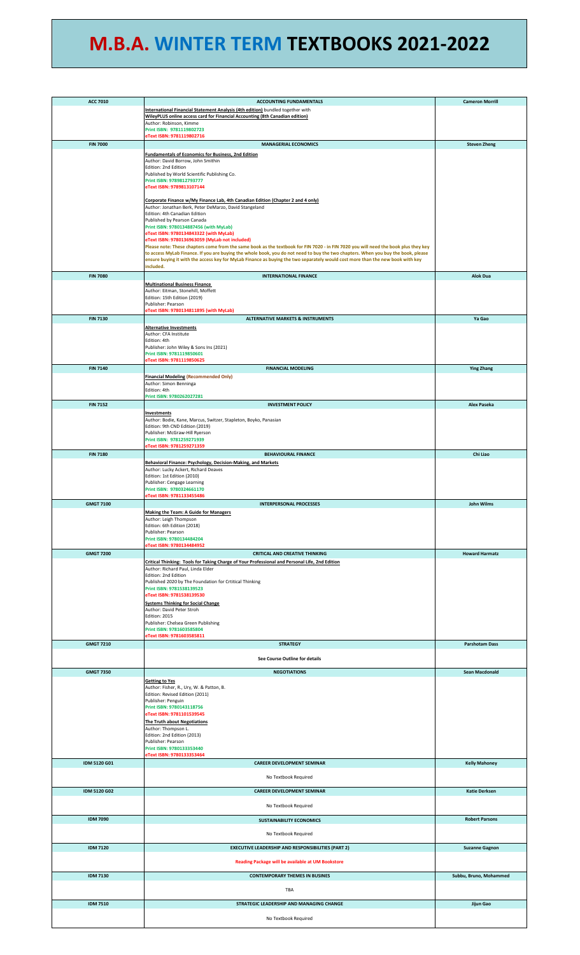## **M.B.A. WINTER TERM TEXTBOOKS 2021-2022**

| <b>ACC 7010</b>     | <b>ACCOUNTING FUNDAMENTALS</b>                                                                                                                                                                                                                                           | <b>Cameron Morrill</b> |
|---------------------|--------------------------------------------------------------------------------------------------------------------------------------------------------------------------------------------------------------------------------------------------------------------------|------------------------|
|                     | International Financial Statement Analysis (4th edition) bundled together with                                                                                                                                                                                           |                        |
|                     | WileyPLUS online access card for Financial Accounting (8th Canadian edition)                                                                                                                                                                                             |                        |
|                     | Author: Robinson, Kimme<br>Print ISBN: 9781119802723                                                                                                                                                                                                                     |                        |
|                     | eText ISBN: 9781119802716                                                                                                                                                                                                                                                |                        |
| <b>FIN 7000</b>     | <b>MANAGERIAL ECONOMICS</b>                                                                                                                                                                                                                                              | <b>Steven Zheng</b>    |
|                     | <b>Fundamentals of Economics for Business, 2nd Edition</b>                                                                                                                                                                                                               |                        |
|                     | Author: David Borrow, John Smithin<br>Edition: 2nd Edition                                                                                                                                                                                                               |                        |
|                     | Published by World Scientific Publishing Co.                                                                                                                                                                                                                             |                        |
|                     | Print ISBN: 9789812793777<br>eText ISBN: 9789813107144                                                                                                                                                                                                                   |                        |
|                     |                                                                                                                                                                                                                                                                          |                        |
|                     | Corporate Finance w/My Finance Lab, 4th Canadian Edition (Chapter 2 and 4 only)                                                                                                                                                                                          |                        |
|                     | Author: Jonathan Berk, Peter DeMarzo, David Stangeland<br>Edition: 4th Canadian Edition                                                                                                                                                                                  |                        |
|                     | Published by Pearson Canada                                                                                                                                                                                                                                              |                        |
|                     | Print ISBN: 9780134887456 (with MyLab)<br>eText ISBN: 9780134843322 (with MyLab)                                                                                                                                                                                         |                        |
|                     | eText ISBN: 9780136963059 (MyLab not included)                                                                                                                                                                                                                           |                        |
|                     | Please note: These chapters come from the same book as the textbook for FIN 7020 - in FIN 7020 you will need the book plus they key<br>to access MyLab Finance. If you are buying the whole book, you do not need to buy the two chapters. When you buy the book, please |                        |
|                     | ensure buying it with the access key for MyLab Finance as buying the two separately would cost more than the new book with key                                                                                                                                           |                        |
|                     | included.                                                                                                                                                                                                                                                                |                        |
| <b>FIN 7080</b>     | <b>INTERNATIONAL FINANCE</b>                                                                                                                                                                                                                                             | <b>Alok Dua</b>        |
|                     | <b>Multinational Business Finance</b><br>Author: Eitman, Stonehill, Moffett                                                                                                                                                                                              |                        |
|                     | Edition: 15th Edition (2019)                                                                                                                                                                                                                                             |                        |
|                     | Publisher: Pearson<br>eText ISBN: 9780134811895 (with MyLab)                                                                                                                                                                                                             |                        |
| <b>FIN 7130</b>     | <b>ALTERNATIVE MARKETS &amp; INSTRUMENTS</b>                                                                                                                                                                                                                             | Ya Gao                 |
|                     | <b>Alternative Investments</b>                                                                                                                                                                                                                                           |                        |
|                     | Author: CFA Institute                                                                                                                                                                                                                                                    |                        |
|                     | Edition: 4th<br>Publisher: John Wiley & Sons Ins (2021)                                                                                                                                                                                                                  |                        |
|                     | Print ISBN: 9781119850601                                                                                                                                                                                                                                                |                        |
| <b>FIN 7140</b>     | eText ISBN: 9781119850625<br><b>FINANCIAL MODELING</b>                                                                                                                                                                                                                   |                        |
|                     | <b>Financial Modeling (Recommended Only)</b>                                                                                                                                                                                                                             | <b>Ying Zhang</b>      |
|                     | Author: Simon Benninga                                                                                                                                                                                                                                                   |                        |
|                     | Edition: 4th<br>Print ISBN: 9780262027281                                                                                                                                                                                                                                |                        |
| <b>FIN 7152</b>     | <b>INVESTMENT POLICY</b>                                                                                                                                                                                                                                                 | Alex Paseka            |
|                     | Investments                                                                                                                                                                                                                                                              |                        |
|                     | Author: Bodie, Kane, Marcus, Switzer, Stapleton, Boyko, Panasian                                                                                                                                                                                                         |                        |
|                     | Edition: 9th CND Edition (2019)<br>Publisher: McGraw-Hill Ryerson                                                                                                                                                                                                        |                        |
|                     | Print ISBN: 9781259271939                                                                                                                                                                                                                                                |                        |
| <b>FIN 7180</b>     | eText ISBN: 9781259271359<br><b>BEHAVIOURAL FINANCE</b>                                                                                                                                                                                                                  | Chi Liao               |
|                     | Behavioral Finance: Psychology, Decision-Making, and Markets                                                                                                                                                                                                             |                        |
|                     | Author: Lucky Ackert, Richard Deaves                                                                                                                                                                                                                                     |                        |
|                     | Edition: 1st Edition (2010)                                                                                                                                                                                                                                              |                        |
|                     | Publisher: Cengage Learning<br>Print ISBN: 9780324661170                                                                                                                                                                                                                 |                        |
|                     | eText ISBN: 9781133455486                                                                                                                                                                                                                                                |                        |
| <b>GMGT 7100</b>    | <b>INTERPERSONAL PROCESSES</b>                                                                                                                                                                                                                                           | John Wilms             |
|                     | <b>Making the Team: A Guide for Managers</b><br>Author: Leigh Thompson                                                                                                                                                                                                   |                        |
|                     | Edition: 6th Edition (2018)                                                                                                                                                                                                                                              |                        |
|                     | Publisher: Pearson                                                                                                                                                                                                                                                       |                        |
|                     | Print ISBN: 9780134484204<br>eText ISBN: 9780134484952                                                                                                                                                                                                                   |                        |
| <b>GMGT 7200</b>    | <b>CRITICAL AND CREATIVE THINKING</b>                                                                                                                                                                                                                                    | <b>Howard Harmatz</b>  |
|                     | Critical Thinking: Tools for Taking Charge of Your Professional and Personal Life, 2nd Edition                                                                                                                                                                           |                        |
|                     | Author: Richard Paul, Linda Elder<br>Edition: 2nd Edition                                                                                                                                                                                                                |                        |
|                     | Published 2020 by The Foundation for Crtitical Thinking                                                                                                                                                                                                                  |                        |
|                     | Print ISBN: 9781538139523<br>eText ISBN: 9781538139530                                                                                                                                                                                                                   |                        |
|                     | <b>Systems Thinking for Social Change</b>                                                                                                                                                                                                                                |                        |
|                     | Author: David Peter Stroh                                                                                                                                                                                                                                                |                        |
|                     | Edition: 2015<br>Publisher: Chelsea Green Publishing                                                                                                                                                                                                                     |                        |
|                     | Print ISBN: 9781603585804                                                                                                                                                                                                                                                |                        |
| <b>GMGT 7210</b>    | eText ISBN: 9781603585811<br><b>STRATEGY</b>                                                                                                                                                                                                                             | <b>Parshotam Dass</b>  |
|                     |                                                                                                                                                                                                                                                                          |                        |
|                     | See Course Outline for details                                                                                                                                                                                                                                           |                        |
| <b>GMGT 7350</b>    | <b>NEGOTIATIONS</b>                                                                                                                                                                                                                                                      | <b>Sean Macdonald</b>  |
|                     | <b>Getting to Yes</b>                                                                                                                                                                                                                                                    |                        |
|                     | Author: Fisher, R., Ury, W. & Patton, B.                                                                                                                                                                                                                                 |                        |
|                     | Edition: Revised Edition (2011)<br>Publisher: Penguin                                                                                                                                                                                                                    |                        |
|                     | Print ISBN: 9780143118756                                                                                                                                                                                                                                                |                        |
|                     | eText ISBN: 9781101539545<br>The Truth about Negotiations                                                                                                                                                                                                                |                        |
|                     | Author: Thompson L.                                                                                                                                                                                                                                                      |                        |
|                     | Edition: 2nd Edition (2013)                                                                                                                                                                                                                                              |                        |
|                     | Publisher: Pearson<br>Print ISBN: 9780133353440                                                                                                                                                                                                                          |                        |
|                     | eText ISBN: 9780133353464                                                                                                                                                                                                                                                |                        |
| <b>IDM 5120 G01</b> | <b>CAREER DEVELOPMENT SEMINAR</b>                                                                                                                                                                                                                                        | <b>Kelly Mahoney</b>   |
|                     | No Textbook Required                                                                                                                                                                                                                                                     |                        |
| <b>IDM 5120 G02</b> | <b>CAREER DEVELOPMENT SEMINAR</b>                                                                                                                                                                                                                                        |                        |
|                     |                                                                                                                                                                                                                                                                          | <b>Katie Derksen</b>   |
|                     | No Textbook Required                                                                                                                                                                                                                                                     |                        |
| <b>IDM 7090</b>     |                                                                                                                                                                                                                                                                          |                        |
|                     | <b>SUSTAINABILITY ECONOMICS</b>                                                                                                                                                                                                                                          | <b>Robert Parsons</b>  |
|                     | No Textbook Required                                                                                                                                                                                                                                                     |                        |
| <b>IDM 7120</b>     | <b>EXECUTIVE LEADERSHIP AND RESPONSIBILITIES (PART 2)</b>                                                                                                                                                                                                                | <b>Suzanne Gagnon</b>  |
|                     |                                                                                                                                                                                                                                                                          |                        |
|                     | Reading Package will be available at UM Bookstore                                                                                                                                                                                                                        |                        |
| <b>IDM 7130</b>     | <b>CONTEMPORARY THEMES IN BUSINES</b>                                                                                                                                                                                                                                    | Subbu, Bruno, Mohammed |
|                     |                                                                                                                                                                                                                                                                          |                        |
|                     | TBA                                                                                                                                                                                                                                                                      |                        |
| <b>IDM 7510</b>     | STRATEGIC LEADERSHIP AND MANAGING CHANGE                                                                                                                                                                                                                                 | Jijun Gao              |
|                     |                                                                                                                                                                                                                                                                          |                        |
|                     | No Textbook Required                                                                                                                                                                                                                                                     |                        |